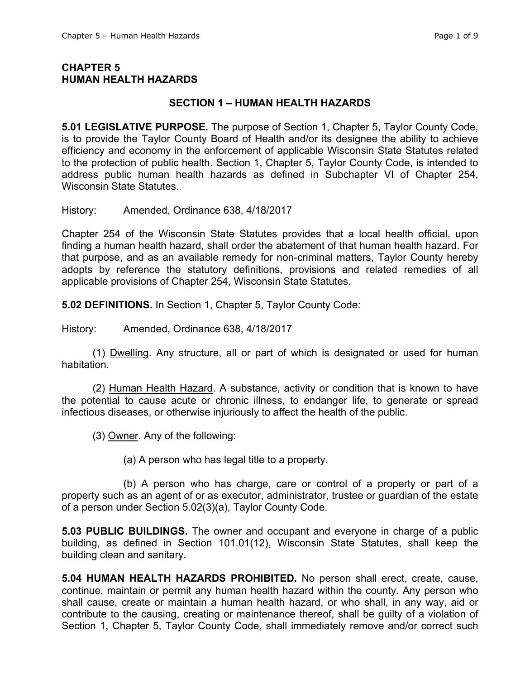## **CHAPTER 5 HUMAN HEALTH HAZARDS**

## **SECTION 1 – HUMAN HEALTH HAZARDS**

**5.01 LEGISLATIVE PURPOSE.** The purpose of Section 1, Chapter 5, Taylor County Code, is to provide the Taylor County Board of Health and/or its designee the ability to achieve efficiency and economy in the enforcement of applicable Wisconsin State Statutes related to the protection of public health. Section 1, Chapter 5, Taylor County Code, is intended to address public human health hazards as defined in Subchapter VI of Chapter 254, Wisconsin State Statutes.

History: Amended, Ordinance 638, 4/18/2017

Chapter 254 of the Wisconsin State Statutes provides that a local health official, upon finding a human health hazard, shall order the abatement of that human health hazard. For that purpose, and as an available remedy for non-criminal matters, Taylor County hereby adopts by reference the statutory definitions, provisions and related remedies of all applicable provisions of Chapter 254, Wisconsin State Statutes.

**5.02 DEFINITIONS.** In Section 1, Chapter 5, Taylor County Code:

History: Amended, Ordinance 638, 4/18/2017

(1) Dwelling. Any structure, all or part of which is designated or used for human habitation.

(2) Human Health Hazard. A substance, activity or condition that is known to have the potential to cause acute or chronic illness, to endanger life, to generate or spread infectious diseases, or otherwise injuriously to affect the health of the public.

(3) Owner. Any of the following:

(a) A person who has legal title to a property.

(b) A person who has charge, care or control of a property or part of a property such as an agent of or as executor, administrator, trustee or guardian of the estate of a person under Section 5.02(3)(a), Taylor County Code.

**5.03 PUBLIC BUILDINGS.** The owner and occupant and everyone in charge of a public building, as defined in Section 101.01(12), Wisconsin State Statutes, shall keep the building clean and sanitary.

**5.04 HUMAN HEALTH HAZARDS PROHIBITED.** No person shall erect, create, cause, continue, maintain or permit any human health hazard within the county. Any person who shall cause, create or maintain a human health hazard, or who shall, in any way, aid or contribute to the causing, creating or maintenance thereof, shall be guilty of a violation of Section 1, Chapter 5, Taylor County Code, shall immediately remove and/or correct such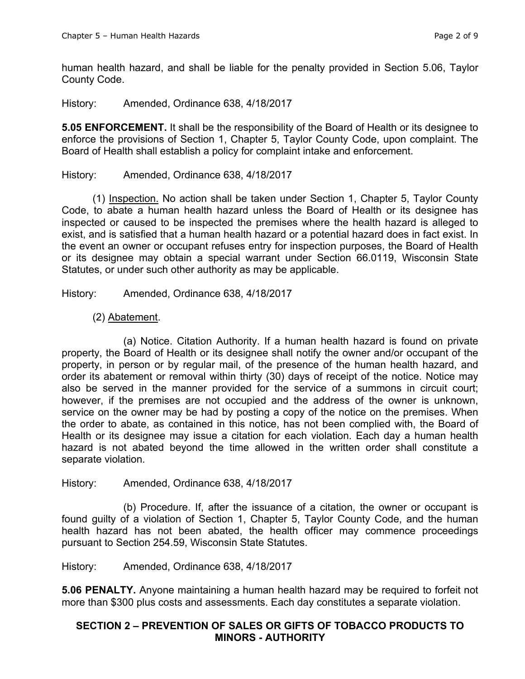human health hazard, and shall be liable for the penalty provided in Section 5.06, Taylor County Code.

History: Amended, Ordinance 638, 4/18/2017

**5.05 ENFORCEMENT.** It shall be the responsibility of the Board of Health or its designee to enforce the provisions of Section 1, Chapter 5, Taylor County Code, upon complaint. The Board of Health shall establish a policy for complaint intake and enforcement.

#### History: Amended, Ordinance 638, 4/18/2017

(1) Inspection. No action shall be taken under Section 1, Chapter 5, Taylor County Code, to abate a human health hazard unless the Board of Health or its designee has inspected or caused to be inspected the premises where the health hazard is alleged to exist, and is satisfied that a human health hazard or a potential hazard does in fact exist. In the event an owner or occupant refuses entry for inspection purposes, the Board of Health or its designee may obtain a special warrant under Section 66.0119, Wisconsin State Statutes, or under such other authority as may be applicable.

History: Amended, Ordinance 638, 4/18/2017

## (2) Abatement.

(a) Notice. Citation Authority. If a human health hazard is found on private property, the Board of Health or its designee shall notify the owner and/or occupant of the property, in person or by regular mail, of the presence of the human health hazard, and order its abatement or removal within thirty (30) days of receipt of the notice. Notice may also be served in the manner provided for the service of a summons in circuit court; however, if the premises are not occupied and the address of the owner is unknown, service on the owner may be had by posting a copy of the notice on the premises. When the order to abate, as contained in this notice, has not been complied with, the Board of Health or its designee may issue a citation for each violation. Each day a human health hazard is not abated beyond the time allowed in the written order shall constitute a separate violation.

#### History: Amended, Ordinance 638, 4/18/2017

(b) Procedure. If, after the issuance of a citation, the owner or occupant is found guilty of a violation of Section 1, Chapter 5, Taylor County Code, and the human health hazard has not been abated, the health officer may commence proceedings pursuant to Section 254.59, Wisconsin State Statutes.

History: Amended, Ordinance 638, 4/18/2017

**5.06 PENALTY.** Anyone maintaining a human health hazard may be required to forfeit not more than \$300 plus costs and assessments. Each day constitutes a separate violation.

## **SECTION 2 – PREVENTION OF SALES OR GIFTS OF TOBACCO PRODUCTS TO MINORS - AUTHORITY**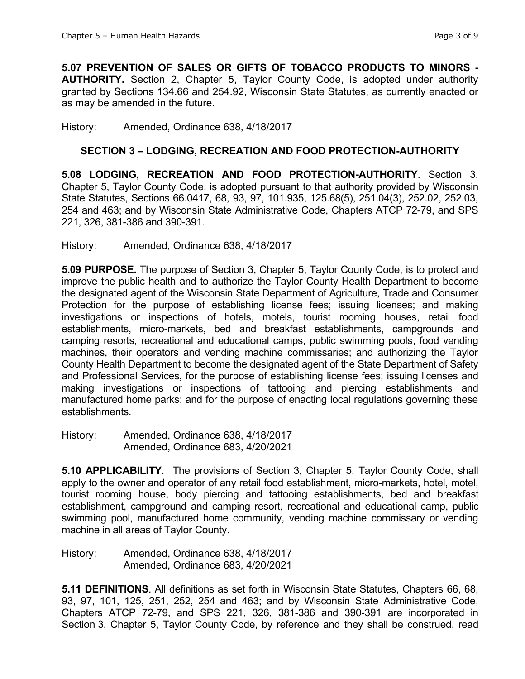**5.07 PREVENTION OF SALES OR GIFTS OF TOBACCO PRODUCTS TO MINORS - AUTHORITY.** Section 2, Chapter 5, Taylor County Code, is adopted under authority granted by Sections 134.66 and 254.92, Wisconsin State Statutes, as currently enacted or as may be amended in the future.

#### History: Amended, Ordinance 638, 4/18/2017

## **SECTION 3 – LODGING, RECREATION AND FOOD PROTECTION-AUTHORITY**

**5.08 LODGING, RECREATION AND FOOD PROTECTION-AUTHORITY**. Section 3, Chapter 5, Taylor County Code, is adopted pursuant to that authority provided by Wisconsin State Statutes, Sections 66.0417, 68, 93, 97, 101.935, 125.68(5), 251.04(3), 252.02, 252.03, 254 and 463; and by Wisconsin State Administrative Code, Chapters ATCP 72-79, and SPS 221, 326, 381-386 and 390-391.

#### History: Amended, Ordinance 638, 4/18/2017

**5.09 PURPOSE.** The purpose of Section 3, Chapter 5, Taylor County Code, is to protect and improve the public health and to authorize the Taylor County Health Department to become the designated agent of the Wisconsin State Department of Agriculture, Trade and Consumer Protection for the purpose of establishing license fees; issuing licenses; and making investigations or inspections of hotels, motels, tourist rooming houses, retail food establishments, micro-markets, bed and breakfast establishments, campgrounds and camping resorts, recreational and educational camps, public swimming pools, food vending machines, their operators and vending machine commissaries; and authorizing the Taylor County Health Department to become the designated agent of the State Department of Safety and Professional Services, for the purpose of establishing license fees; issuing licenses and making investigations or inspections of tattooing and piercing establishments and manufactured home parks; and for the purpose of enacting local regulations governing these establishments.

History: Amended, Ordinance 638, 4/18/2017 Amended, Ordinance 683, 4/20/2021

**5.10 APPLICABILITY**. The provisions of Section 3, Chapter 5, Taylor County Code, shall apply to the owner and operator of any retail food establishment, micro-markets, hotel, motel, tourist rooming house, body piercing and tattooing establishments, bed and breakfast establishment, campground and camping resort, recreational and educational camp, public swimming pool, manufactured home community, vending machine commissary or vending machine in all areas of Taylor County.

History: Amended, Ordinance 638, 4/18/2017 Amended, Ordinance 683, 4/20/2021

**5.11 DEFINITIONS**. All definitions as set forth in Wisconsin State Statutes, Chapters 66, 68, 93, 97, 101, 125, 251, 252, 254 and 463; and by Wisconsin State Administrative Code, Chapters ATCP 72-79, and SPS 221, 326, 381-386 and 390-391 are incorporated in Section 3, Chapter 5, Taylor County Code, by reference and they shall be construed, read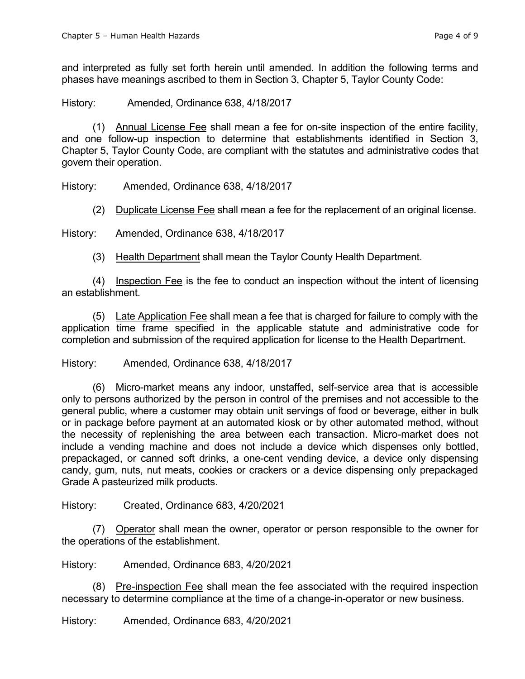and interpreted as fully set forth herein until amended. In addition the following terms and phases have meanings ascribed to them in Section 3, Chapter 5, Taylor County Code:

History: Amended, Ordinance 638, 4/18/2017

(1) Annual License Fee shall mean a fee for on-site inspection of the entire facility, and one follow-up inspection to determine that establishments identified in Section 3, Chapter 5, Taylor County Code, are compliant with the statutes and administrative codes that govern their operation.

History: Amended, Ordinance 638, 4/18/2017

(2) Duplicate License Fee shall mean a fee for the replacement of an original license.

History: Amended, Ordinance 638, 4/18/2017

(3) Health Department shall mean the Taylor County Health Department.

(4) Inspection Fee is the fee to conduct an inspection without the intent of licensing an establishment.

(5) Late Application Fee shall mean a fee that is charged for failure to comply with the application time frame specified in the applicable statute and administrative code for completion and submission of the required application for license to the Health Department.

History: Amended, Ordinance 638, 4/18/2017

(6) Micro-market means any indoor, unstaffed, self-service area that is accessible only to persons authorized by the person in control of the premises and not accessible to the general public, where a customer may obtain unit servings of food or beverage, either in bulk or in package before payment at an automated kiosk or by other automated method, without the necessity of replenishing the area between each transaction. Micro-market does not include a vending machine and does not include a device which dispenses only bottled, prepackaged, or canned soft drinks, a one-cent vending device, a device only dispensing candy, gum, nuts, nut meats, cookies or crackers or a device dispensing only prepackaged Grade A pasteurized milk products.

History: Created, Ordinance 683, 4/20/2021

(7) Operator shall mean the owner, operator or person responsible to the owner for the operations of the establishment.

History: Amended, Ordinance 683, 4/20/2021

(8) Pre-inspection Fee shall mean the fee associated with the required inspection necessary to determine compliance at the time of a change-in-operator or new business.

History: Amended, Ordinance 683, 4/20/2021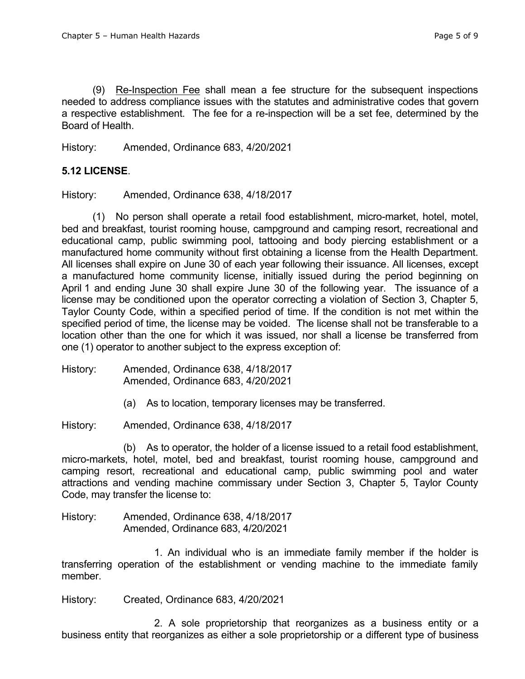(9) Re-Inspection Fee shall mean a fee structure for the subsequent inspections needed to address compliance issues with the statutes and administrative codes that govern a respective establishment. The fee for a re-inspection will be a set fee, determined by the Board of Health.

History: Amended, Ordinance 683, 4/20/2021

## **5.12 LICENSE**.

History: Amended, Ordinance 638, 4/18/2017

(1) No person shall operate a retail food establishment, micro-market, hotel, motel, bed and breakfast, tourist rooming house, campground and camping resort, recreational and educational camp, public swimming pool, tattooing and body piercing establishment or a manufactured home community without first obtaining a license from the Health Department. All licenses shall expire on June 30 of each year following their issuance. All licenses, except a manufactured home community license, initially issued during the period beginning on April 1 and ending June 30 shall expire June 30 of the following year. The issuance of a license may be conditioned upon the operator correcting a violation of Section 3, Chapter 5, Taylor County Code, within a specified period of time. If the condition is not met within the specified period of time, the license may be voided. The license shall not be transferable to a location other than the one for which it was issued, nor shall a license be transferred from one (1) operator to another subject to the express exception of:

History: Amended, Ordinance 638, 4/18/2017 Amended, Ordinance 683, 4/20/2021

(a) As to location, temporary licenses may be transferred.

History: Amended, Ordinance 638, 4/18/2017

(b) As to operator, the holder of a license issued to a retail food establishment, micro-markets, hotel, motel, bed and breakfast, tourist rooming house, campground and camping resort, recreational and educational camp, public swimming pool and water attractions and vending machine commissary under Section 3, Chapter 5, Taylor County Code, may transfer the license to:

History: Amended, Ordinance 638, 4/18/2017 Amended, Ordinance 683, 4/20/2021

1. An individual who is an immediate family member if the holder is transferring operation of the establishment or vending machine to the immediate family member.

History: Created, Ordinance 683, 4/20/2021

2. A sole proprietorship that reorganizes as a business entity or a business entity that reorganizes as either a sole proprietorship or a different type of business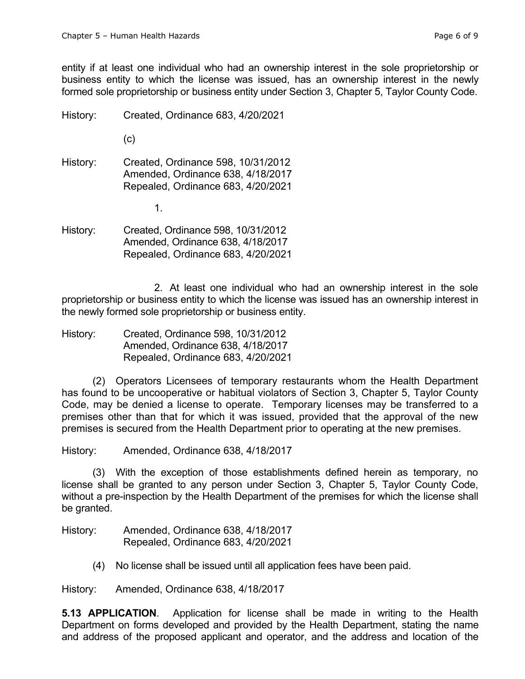entity if at least one individual who had an ownership interest in the sole proprietorship or business entity to which the license was issued, has an ownership interest in the newly formed sole proprietorship or business entity under Section 3, Chapter 5, Taylor County Code.

History: Created, Ordinance 683, 4/20/2021

(c)

History: Created, Ordinance 598, 10/31/2012 Amended, Ordinance 638, 4/18/2017 Repealed, Ordinance 683, 4/20/2021

1.

History: Created, Ordinance 598, 10/31/2012 Amended, Ordinance 638, 4/18/2017 Repealed, Ordinance 683, 4/20/2021

2. At least one individual who had an ownership interest in the sole proprietorship or business entity to which the license was issued has an ownership interest in the newly formed sole proprietorship or business entity.

History: Created, Ordinance 598, 10/31/2012 Amended, Ordinance 638, 4/18/2017 Repealed, Ordinance 683, 4/20/2021

(2) Operators Licensees of temporary restaurants whom the Health Department has found to be uncooperative or habitual violators of Section 3, Chapter 5, Taylor County Code, may be denied a license to operate. Temporary licenses may be transferred to a premises other than that for which it was issued, provided that the approval of the new premises is secured from the Health Department prior to operating at the new premises.

History: Amended, Ordinance 638, 4/18/2017

(3) With the exception of those establishments defined herein as temporary, no license shall be granted to any person under Section 3, Chapter 5, Taylor County Code, without a pre-inspection by the Health Department of the premises for which the license shall be granted.

History: Amended, Ordinance 638, 4/18/2017 Repealed, Ordinance 683, 4/20/2021

(4) No license shall be issued until all application fees have been paid.

History: Amended, Ordinance 638, 4/18/2017

**5.13 APPLICATION**. Application for license shall be made in writing to the Health Department on forms developed and provided by the Health Department, stating the name and address of the proposed applicant and operator, and the address and location of the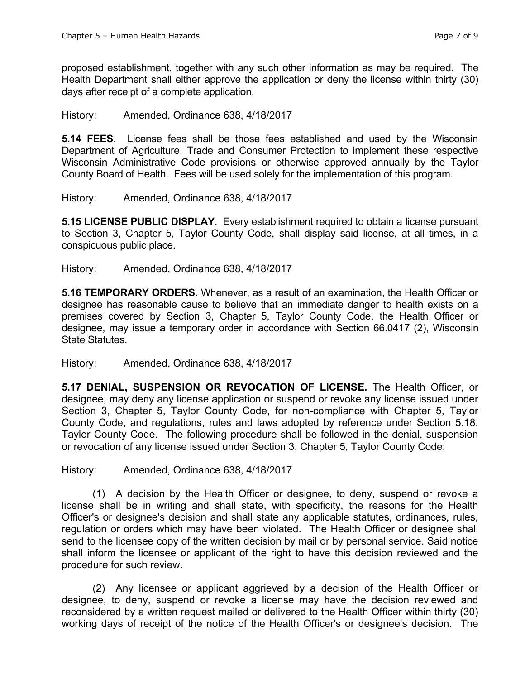proposed establishment, together with any such other information as may be required. The Health Department shall either approve the application or deny the license within thirty (30) days after receipt of a complete application.

#### History: Amended, Ordinance 638, 4/18/2017

**5.14 FEES**. License fees shall be those fees established and used by the Wisconsin Department of Agriculture, Trade and Consumer Protection to implement these respective Wisconsin Administrative Code provisions or otherwise approved annually by the Taylor County Board of Health. Fees will be used solely for the implementation of this program.

History: Amended, Ordinance 638, 4/18/2017

**5.15 LICENSE PUBLIC DISPLAY**. Every establishment required to obtain a license pursuant to Section 3, Chapter 5, Taylor County Code, shall display said license, at all times, in a conspicuous public place.

#### History: Amended, Ordinance 638, 4/18/2017

**5.16 TEMPORARY ORDERS.** Whenever, as a result of an examination, the Health Officer or designee has reasonable cause to believe that an immediate danger to health exists on a premises covered by Section 3, Chapter 5, Taylor County Code, the Health Officer or designee, may issue a temporary order in accordance with Section 66.0417 (2), Wisconsin State Statutes.

History: Amended, Ordinance 638, 4/18/2017

**5.17 DENIAL, SUSPENSION OR REVOCATION OF LICENSE.** The Health Officer, or designee, may deny any license application or suspend or revoke any license issued under Section 3, Chapter 5, Taylor County Code, for non-compliance with Chapter 5, Taylor County Code, and regulations, rules and laws adopted by reference under Section 5.18, Taylor County Code. The following procedure shall be followed in the denial, suspension or revocation of any license issued under Section 3, Chapter 5, Taylor County Code:

History: Amended, Ordinance 638, 4/18/2017

(1) A decision by the Health Officer or designee, to deny, suspend or revoke a license shall be in writing and shall state, with specificity, the reasons for the Health Officer's or designee's decision and shall state any applicable statutes, ordinances, rules, regulation or orders which may have been violated. The Health Officer or designee shall send to the licensee copy of the written decision by mail or by personal service. Said notice shall inform the licensee or applicant of the right to have this decision reviewed and the procedure for such review.

(2) Any licensee or applicant aggrieved by a decision of the Health Officer or designee, to deny, suspend or revoke a license may have the decision reviewed and reconsidered by a written request mailed or delivered to the Health Officer within thirty (30) working days of receipt of the notice of the Health Officer's or designee's decision. The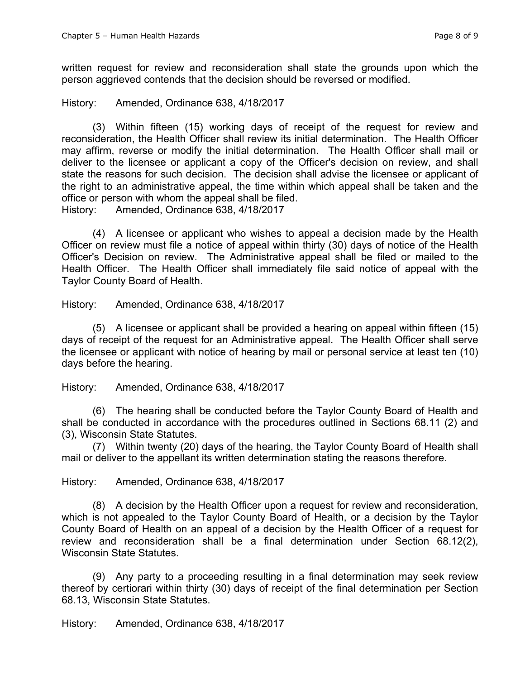written request for review and reconsideration shall state the grounds upon which the person aggrieved contends that the decision should be reversed or modified.

History: Amended, Ordinance 638, 4/18/2017

(3) Within fifteen (15) working days of receipt of the request for review and reconsideration, the Health Officer shall review its initial determination. The Health Officer may affirm, reverse or modify the initial determination. The Health Officer shall mail or deliver to the licensee or applicant a copy of the Officer's decision on review, and shall state the reasons for such decision. The decision shall advise the licensee or applicant of the right to an administrative appeal, the time within which appeal shall be taken and the office or person with whom the appeal shall be filed.

History: Amended, Ordinance 638, 4/18/2017

(4) A licensee or applicant who wishes to appeal a decision made by the Health Officer on review must file a notice of appeal within thirty (30) days of notice of the Health Officer's Decision on review. The Administrative appeal shall be filed or mailed to the Health Officer. The Health Officer shall immediately file said notice of appeal with the Taylor County Board of Health.

History: Amended, Ordinance 638, 4/18/2017

(5) A licensee or applicant shall be provided a hearing on appeal within fifteen (15) days of receipt of the request for an Administrative appeal. The Health Officer shall serve the licensee or applicant with notice of hearing by mail or personal service at least ten (10) days before the hearing.

History: Amended, Ordinance 638, 4/18/2017

(6) The hearing shall be conducted before the Taylor County Board of Health and shall be conducted in accordance with the procedures outlined in Sections 68.11 (2) and (3), Wisconsin State Statutes.

(7) Within twenty (20) days of the hearing, the Taylor County Board of Health shall mail or deliver to the appellant its written determination stating the reasons therefore.

History: Amended, Ordinance 638, 4/18/2017

(8) A decision by the Health Officer upon a request for review and reconsideration, which is not appealed to the Taylor County Board of Health, or a decision by the Taylor County Board of Health on an appeal of a decision by the Health Officer of a request for review and reconsideration shall be a final determination under Section 68.12(2), Wisconsin State Statutes.

(9) Any party to a proceeding resulting in a final determination may seek review thereof by certiorari within thirty (30) days of receipt of the final determination per Section 68.13, Wisconsin State Statutes.

History: Amended, Ordinance 638, 4/18/2017